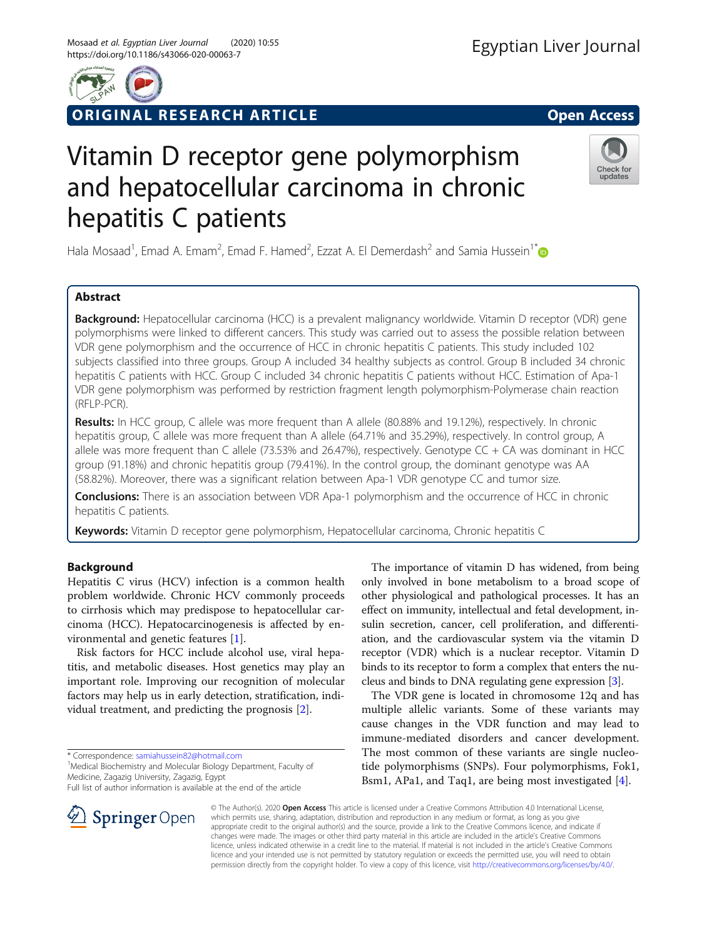

# ORIGINAL RESEARCH ARTICLE **External of the Contract Open Access**

Check for updates

# Vitamin D receptor gene polymorphism and hepatocellular carcinoma in chronic hepatitis C patients

Hala Mosaad<sup>1</sup>, Emad A. Emam<sup>2</sup>, Emad F. Hamed<sup>2</sup>, Ezzat A. El Demerdash<sup>2</sup> and Samia Hussein<sup>1[\\*](http://orcid.org/0000-0002-7407-1608)</sup>

# Abstract

Background: Hepatocellular carcinoma (HCC) is a prevalent malignancy worldwide. Vitamin D receptor (VDR) gene polymorphisms were linked to different cancers. This study was carried out to assess the possible relation between VDR gene polymorphism and the occurrence of HCC in chronic hepatitis C patients. This study included 102 subjects classified into three groups. Group A included 34 healthy subjects as control. Group B included 34 chronic hepatitis C patients with HCC. Group C included 34 chronic hepatitis C patients without HCC. Estimation of Apa-1 VDR gene polymorphism was performed by restriction fragment length polymorphism-Polymerase chain reaction (RFLP-PCR).

Results: In HCC group, C allele was more frequent than A allele (80.88% and 19.12%), respectively. In chronic hepatitis group, C allele was more frequent than A allele (64.71% and 35.29%), respectively. In control group, A allele was more frequent than C allele (73.53% and 26.47%), respectively. Genotype CC + CA was dominant in HCC group (91.18%) and chronic hepatitis group (79.41%). In the control group, the dominant genotype was AA (58.82%). Moreover, there was a significant relation between Apa-1 VDR genotype CC and tumor size.

**Conclusions:** There is an association between VDR Apa-1 polymorphism and the occurrence of HCC in chronic hepatitis C patients.

Keywords: Vitamin D receptor gene polymorphism, Hepatocellular carcinoma, Chronic hepatitis C

# Background

Hepatitis C virus (HCV) infection is a common health problem worldwide. Chronic HCV commonly proceeds to cirrhosis which may predispose to hepatocellular carcinoma (HCC). Hepatocarcinogenesis is affected by environmental and genetic features [\[1\]](#page-5-0).

Risk factors for HCC include alcohol use, viral hepatitis, and metabolic diseases. Host genetics may play an important role. Improving our recognition of molecular factors may help us in early detection, stratification, individual treatment, and predicting the prognosis [[2\]](#page-5-0).

The importance of vitamin D has widened, from being only involved in bone metabolism to a broad scope of other physiological and pathological processes. It has an effect on immunity, intellectual and fetal development, insulin secretion, cancer, cell proliferation, and differentiation, and the cardiovascular system via the vitamin D receptor (VDR) which is a nuclear receptor. Vitamin D binds to its receptor to form a complex that enters the nucleus and binds to DNA regulating gene expression [[3](#page-5-0)].

The VDR gene is located in chromosome 12q and has multiple allelic variants. Some of these variants may cause changes in the VDR function and may lead to immune-mediated disorders and cancer development. The most common of these variants are single nucleotide polymorphisms (SNPs). Four polymorphisms, Fok1, Bsm1, APa1, and Taq1, are being most investigated [[4\]](#page-5-0).



© The Author(s). 2020 Open Access This article is licensed under a Creative Commons Attribution 4.0 International License, which permits use, sharing, adaptation, distribution and reproduction in any medium or format, as long as you give appropriate credit to the original author(s) and the source, provide a link to the Creative Commons licence, and indicate if changes were made. The images or other third party material in this article are included in the article's Creative Commons licence, unless indicated otherwise in a credit line to the material. If material is not included in the article's Creative Commons licence and your intended use is not permitted by statutory regulation or exceeds the permitted use, you will need to obtain permission directly from the copyright holder. To view a copy of this licence, visit <http://creativecommons.org/licenses/by/4.0/>.

<sup>\*</sup> Correspondence: [samiahussein82@hotmail.com](mailto:samiahussein82@hotmail.com) <sup>1</sup>

<sup>&</sup>lt;sup>1</sup> Medical Biochemistry and Molecular Biology Department, Faculty of Medicine, Zagazig University, Zagazig, Egypt

Full list of author information is available at the end of the article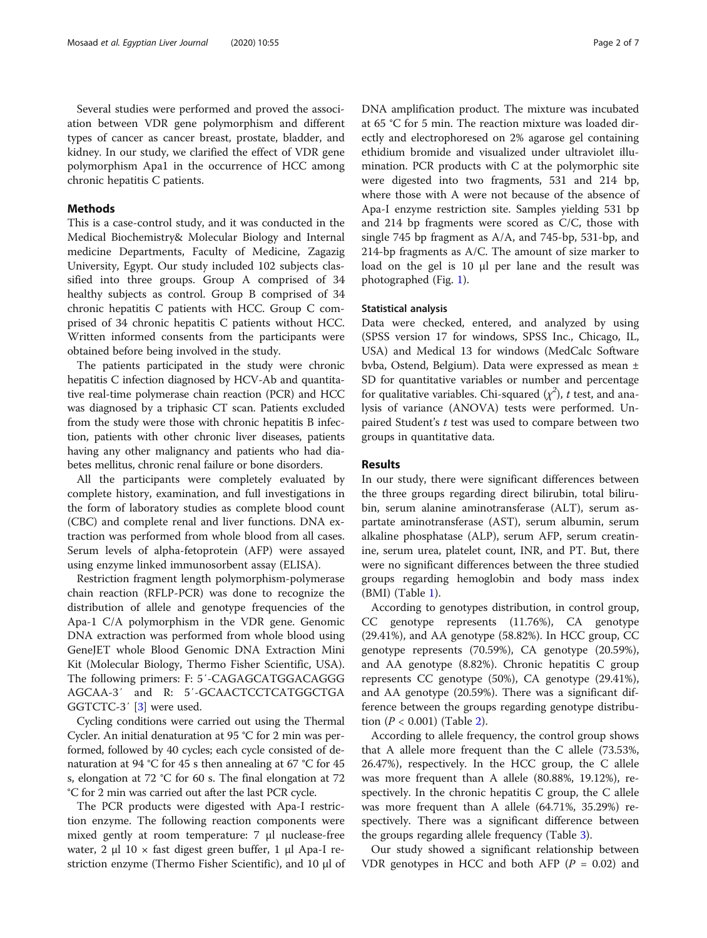Several studies were performed and proved the association between VDR gene polymorphism and different types of cancer as cancer breast, prostate, bladder, and kidney. In our study, we clarified the effect of VDR gene polymorphism Apa1 in the occurrence of HCC among chronic hepatitis C patients.

### Methods

This is a case-control study, and it was conducted in the Medical Biochemistry& Molecular Biology and Internal medicine Departments, Faculty of Medicine, Zagazig University, Egypt. Our study included 102 subjects classified into three groups. Group A comprised of 34 healthy subjects as control. Group B comprised of 34 chronic hepatitis C patients with HCC. Group C comprised of 34 chronic hepatitis C patients without HCC. Written informed consents from the participants were obtained before being involved in the study.

The patients participated in the study were chronic hepatitis C infection diagnosed by HCV-Ab and quantitative real-time polymerase chain reaction (PCR) and HCC was diagnosed by a triphasic CT scan. Patients excluded from the study were those with chronic hepatitis B infection, patients with other chronic liver diseases, patients having any other malignancy and patients who had diabetes mellitus, chronic renal failure or bone disorders.

All the participants were completely evaluated by complete history, examination, and full investigations in the form of laboratory studies as complete blood count (CBC) and complete renal and liver functions. DNA extraction was performed from whole blood from all cases. Serum levels of alpha-fetoprotein (AFP) were assayed using enzyme linked immunosorbent assay (ELISA).

Restriction fragment length polymorphism-polymerase chain reaction (RFLP-PCR) was done to recognize the distribution of allele and genotype frequencies of the Apa-1 C/A polymorphism in the VDR gene. Genomic DNA extraction was performed from whole blood using GeneJET whole Blood Genomic DNA Extraction Mini Kit (Molecular Biology, Thermo Fisher Scientific, USA). The following primers: F: 5′-CAGAGCATGGACAGGG AGCAA-3′ and R: 5′-GCAACTCCTCATGGCTGA GGTCTC-3′ [[3\]](#page-5-0) were used.

Cycling conditions were carried out using the Thermal Cycler. An initial denaturation at 95 °C for 2 min was performed, followed by 40 cycles; each cycle consisted of denaturation at 94 °C for 45 s then annealing at 67 °C for 45 s, elongation at 72 °C for 60 s. The final elongation at 72 °C for 2 min was carried out after the last PCR cycle.

The PCR products were digested with Apa-I restriction enzyme. The following reaction components were mixed gently at room temperature: 7 μl nuclease-free water, 2 μl 10 × fast digest green buffer, 1 μl Apa-I restriction enzyme (Thermo Fisher Scientific), and 10 μl of DNA amplification product. The mixture was incubated at 65 °C for 5 min. The reaction mixture was loaded directly and electrophoresed on 2% agarose gel containing ethidium bromide and visualized under ultraviolet illumination. PCR products with C at the polymorphic site were digested into two fragments, 531 and 214 bp, where those with A were not because of the absence of Apa-I enzyme restriction site. Samples yielding 531 bp and 214 bp fragments were scored as C/C, those with single 745 bp fragment as A/A, and 745-bp, 531-bp, and 214-bp fragments as A/C. The amount of size marker to load on the gel is 10 μl per lane and the result was photographed (Fig. [1](#page-2-0)).

## Statistical analysis

Data were checked, entered, and analyzed by using (SPSS version 17 for windows, SPSS Inc., Chicago, IL, USA) and Medical 13 for windows (MedCalc Software bvba, Ostend, Belgium). Data were expressed as mean ± SD for quantitative variables or number and percentage for qualitative variables. Chi-squared  $(\chi^2)$ , t test, and analysis of variance (ANOVA) tests were performed. Unpaired Student's t test was used to compare between two groups in quantitative data.

#### Results

In our study, there were significant differences between the three groups regarding direct bilirubin, total bilirubin, serum alanine aminotransferase (ALT), serum aspartate aminotransferase (AST), serum albumin, serum alkaline phosphatase (ALP), serum AFP, serum creatinine, serum urea, platelet count, INR, and PT. But, there were no significant differences between the three studied groups regarding hemoglobin and body mass index (BMI) (Table [1](#page-2-0)).

According to genotypes distribution, in control group, CC genotype represents (11.76%), CA genotype (29.41%), and AA genotype (58.82%). In HCC group, CC genotype represents (70.59%), CA genotype (20.59%), and AA genotype (8.82%). Chronic hepatitis C group represents CC genotype (50%), CA genotype (29.41%), and AA genotype (20.59%). There was a significant difference between the groups regarding genotype distribution  $(P < 0.001)$  (Table [2\)](#page-3-0).

According to allele frequency, the control group shows that A allele more frequent than the C allele (73.53%, 26.47%), respectively. In the HCC group, the C allele was more frequent than A allele (80.88%, 19.12%), respectively. In the chronic hepatitis C group, the C allele was more frequent than A allele (64.71%, 35.29%) respectively. There was a significant difference between the groups regarding allele frequency (Table [3\)](#page-3-0).

Our study showed a significant relationship between VDR genotypes in HCC and both AFP ( $P = 0.02$ ) and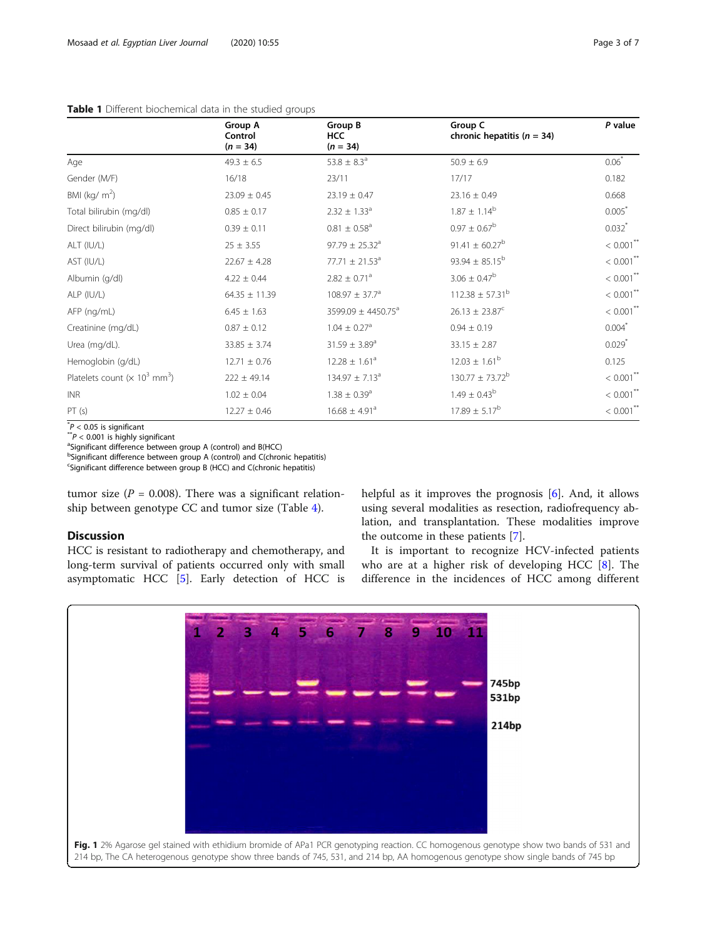## <span id="page-2-0"></span>Table 1 Different biochemical data in the studied groups

|                                                              | Group A           | Group B                        | Group C                        | P value                 |
|--------------------------------------------------------------|-------------------|--------------------------------|--------------------------------|-------------------------|
|                                                              | Control           | <b>HCC</b>                     | chronic hepatitis ( $n = 34$ ) |                         |
|                                                              | $(n = 34)$        | $(n = 34)$                     |                                |                         |
| Age                                                          | $49.3 \pm 6.5$    | 53.8 $\pm$ 8.3 <sup>a</sup>    | $50.9 \pm 6.9$                 | $0.06*$                 |
| Gender (M/F)                                                 | 16/18             | 23/11                          | 17/17                          | 0.182                   |
| BMI ( $\text{kg/m}^2$ )                                      | $23.09 \pm 0.45$  | $23.19 \pm 0.47$               | $23.16 \pm 0.49$               | 0.668                   |
| Total bilirubin (mg/dl)                                      | $0.85 \pm 0.17$   | $2.32 \pm 1.33$ <sup>a</sup>   | $1.87 \pm 1.14^b$              | 0.005                   |
| Direct bilirubin (mg/dl)                                     | $0.39 \pm 0.11$   | $0.81 \pm 0.58$ <sup>a</sup>   | $0.97 \pm 0.67^{\rm b}$        | $0.032$ *               |
| ALT (IU/L)                                                   | $25 \pm 3.55$     | $97.79 \pm 25.32$ <sup>a</sup> | 91.41 $\pm$ 60.27 <sup>b</sup> | $< 0.001$ **            |
| AST (IU/L)                                                   | $22.67 \pm 4.28$  | 77.71 $\pm$ 21.53 <sup>a</sup> | $93.94 \pm 85.15^{\rm b}$      | $< 0.001$ <sup>**</sup> |
| Albumin (g/dl)                                               | $4.22 \pm 0.44$   | $2.82 \pm 0.71$ <sup>a</sup>   | $3.06 \pm 0.47^b$              | $< 0.001$ <sup>**</sup> |
| ALP (IU/L)                                                   | $64.35 \pm 11.39$ | $108.97 \pm 37.7^a$            | $112.38 \pm 57.31^{\circ}$     | $< 0.001$ **            |
| AFP (ng/mL)                                                  | $6.45 \pm 1.63$   | 3599.09 ± 4450.75 <sup>a</sup> | $26.13 \pm 23.87^c$            | $< 0.001$ <sup>**</sup> |
| Creatinine (mg/dL)                                           | $0.87 \pm 0.12$   | $1.04 \pm 0.27$ <sup>a</sup>   | $0.94 \pm 0.19$                | $0.004*$                |
| Urea (mg/dL).                                                | $33.85 \pm 3.74$  | $31.59 \pm 3.89$ <sup>a</sup>  | $33.15 \pm 2.87$               | $0.029$ <sup>*</sup>    |
| Hemoglobin (g/dL)                                            | $12.71 \pm 0.76$  | $12.28 \pm 1.61^a$             | $12.03 \pm 1.61^b$             | 0.125                   |
| Platelets count ( $\times$ 10 <sup>3</sup> mm <sup>3</sup> ) | $222 \pm 49.14$   | $134.97 \pm 7.13^a$            | $130.77 \pm 73.72^b$           | $< 0.001$ <sup>**</sup> |
| <b>INR</b>                                                   | $1.02 \pm 0.04$   | $1.38 \pm 0.39$ <sup>a</sup>   | $1.49 \pm 0.43^b$              | $< 0.001$ **            |
| PT(s)                                                        | $12.27 \pm 0.46$  | $16.68 \pm 4.91$ <sup>a</sup>  | $17.89 \pm 5.17^{\rm b}$       | $< 0.001$ <sup>**</sup> |

 $^*P < 0.05$  is significant<br> $^*P < 0.001$  is bigbly si

 $\hat{\ }^\circ P < 0.001$  is highly significant<br>ªSignificant difference between

<sup>a</sup>Significant difference between group A (control) and B(HCC)

<sup>b</sup>Significant difference between group A (control) and C(chronic hepatitis)

<sup>c</sup>Significant difference between group B (HCC) and C(chronic hepatitis)

tumor size ( $P = 0.008$ ). There was a significant relationship between genotype CC and tumor size (Table [4\)](#page-4-0).

# Discussion

HCC is resistant to radiotherapy and chemotherapy, and long-term survival of patients occurred only with small asymptomatic HCC [[5\]](#page-5-0). Early detection of HCC is

helpful as it improves the prognosis [[6\]](#page-5-0). And, it allows using several modalities as resection, radiofrequency ablation, and transplantation. These modalities improve the outcome in these patients [\[7](#page-5-0)].

It is important to recognize HCV-infected patients who are at a higher risk of developing HCC [\[8](#page-5-0)]. The difference in the incidences of HCC among different

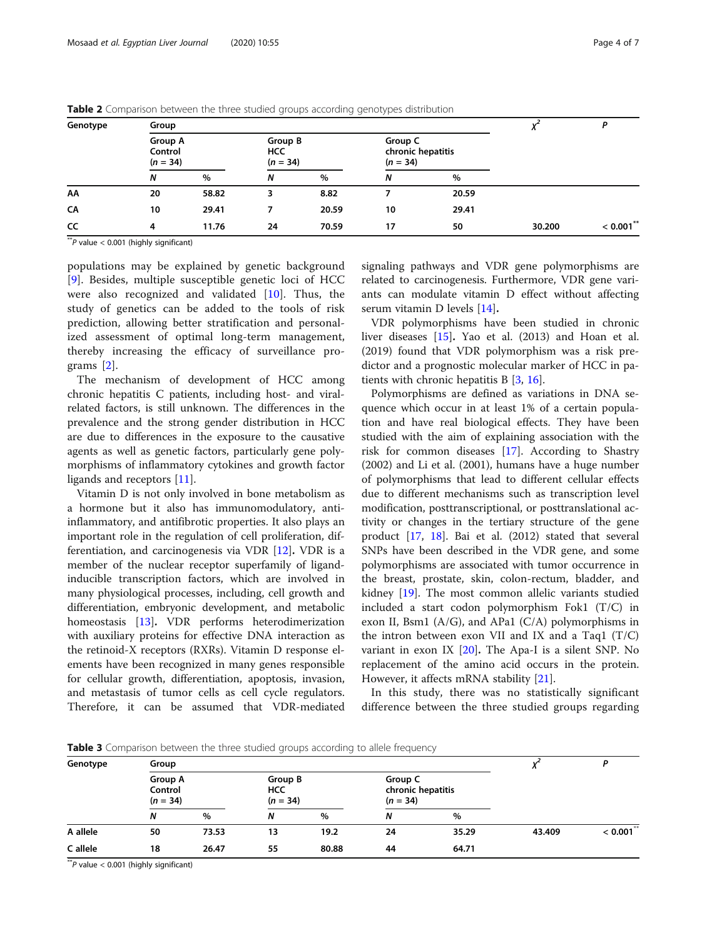| Genotype | Group                            |       |                                     |       | D                                          |       |        |              |
|----------|----------------------------------|-------|-------------------------------------|-------|--------------------------------------------|-------|--------|--------------|
|          | Group A<br>Control<br>$(n = 34)$ |       | Group B<br><b>HCC</b><br>$(n = 34)$ |       | Group C<br>chronic hepatitis<br>$(n = 34)$ |       |        |              |
|          | Ν                                | $\%$  | N                                   | $\%$  | N                                          | $\%$  |        |              |
| AA       | 20                               | 58.82 | 3                                   | 8.82  |                                            | 20.59 |        |              |
| CA       | 10                               | 29.41 |                                     | 20.59 | 10                                         | 29.41 |        |              |
| CC       | 4                                | 11.76 | 24                                  | 70.59 | 17                                         | 50    | 30.200 | $< 0.001$ ** |

<span id="page-3-0"></span>Table 2 Comparison between the three studied groups according genotypes distribution

 $*$ <sup>\*</sup> $P$  value  $< 0.001$  (highly significant)

populations may be explained by genetic background [[9\]](#page-5-0). Besides, multiple susceptible genetic loci of HCC were also recognized and validated [[10\]](#page-6-0). Thus, the study of genetics can be added to the tools of risk prediction, allowing better stratification and personalized assessment of optimal long-term management, thereby increasing the efficacy of surveillance programs [[2](#page-5-0)].

The mechanism of development of HCC among chronic hepatitis C patients, including host- and viralrelated factors, is still unknown. The differences in the prevalence and the strong gender distribution in HCC are due to differences in the exposure to the causative agents as well as genetic factors, particularly gene polymorphisms of inflammatory cytokines and growth factor ligands and receptors [\[11\]](#page-6-0).

Vitamin D is not only involved in bone metabolism as a hormone but it also has immunomodulatory, antiinflammatory, and antifibrotic properties. It also plays an important role in the regulation of cell proliferation, differentiation, and carcinogenesis via VDR  $[12]$  $[12]$ . VDR is a member of the nuclear receptor superfamily of ligandinducible transcription factors, which are involved in many physiological processes, including, cell growth and differentiation, embryonic development, and metabolic homeostasis [\[13](#page-6-0)]. VDR performs heterodimerization with auxiliary proteins for effective DNA interaction as the retinoid-X receptors (RXRs). Vitamin D response elements have been recognized in many genes responsible for cellular growth, differentiation, apoptosis, invasion, and metastasis of tumor cells as cell cycle regulators. Therefore, it can be assumed that VDR-mediated signaling pathways and VDR gene polymorphisms are related to carcinogenesis. Furthermore, VDR gene variants can modulate vitamin D effect without affecting serum vitamin D levels [\[14\]](#page-6-0).

VDR polymorphisms have been studied in chronic liver diseases [\[15](#page-6-0)]. Yao et al. (2013) and Hoan et al. (2019) found that VDR polymorphism was a risk predictor and a prognostic molecular marker of HCC in patients with chronic hepatitis B [\[3](#page-5-0), [16](#page-6-0)].

Polymorphisms are defined as variations in DNA sequence which occur in at least 1% of a certain population and have real biological effects. They have been studied with the aim of explaining association with the risk for common diseases [[17\]](#page-6-0). According to Shastry (2002) and Li et al. (2001), humans have a huge number of polymorphisms that lead to different cellular effects due to different mechanisms such as transcription level modification, posttranscriptional, or posttranslational activity or changes in the tertiary structure of the gene product [\[17](#page-6-0), [18](#page-6-0)]. Bai et al. (2012) stated that several SNPs have been described in the VDR gene, and some polymorphisms are associated with tumor occurrence in the breast, prostate, skin, colon-rectum, bladder, and kidney [\[19](#page-6-0)]. The most common allelic variants studied included a start codon polymorphism Fok1 (T/C) in exon II, Bsm1 ( $A/G$ ), and APa1 ( $C/A$ ) polymorphisms in the intron between exon VII and IX and a Taq1 (T/C) variant in exon IX  $[20]$  $[20]$ . The Apa-I is a silent SNP. No replacement of the amino acid occurs in the protein. However, it affects mRNA stability [\[21](#page-6-0)].

In this study, there was no statistically significant difference between the three studied groups regarding

**Table 3** Comparison between the three studied groups according to allele frequency

| Genotype | Group                            |       |            |                       |    |                                            |        |                                   |
|----------|----------------------------------|-------|------------|-----------------------|----|--------------------------------------------|--------|-----------------------------------|
|          | Group A<br>Control<br>$(n = 34)$ |       | <b>HCC</b> | Group B<br>$(n = 34)$ |    | Group C<br>chronic hepatitis<br>$(n = 34)$ |        |                                   |
|          | N                                | $\%$  | Ν          | %                     | Ν  | $\%$                                       |        |                                   |
| A allele | 50                               | 73.53 | 13         | 19.2                  | 24 | 35.29                                      | 43.409 | $\frac{1}{6}$ 0.001 <sup>**</sup> |
| C allele | 18                               | 26.47 | 55         | 80.88                 | 44 | 64.71                                      |        |                                   |

\*\*P value < 0.001 (highly significant)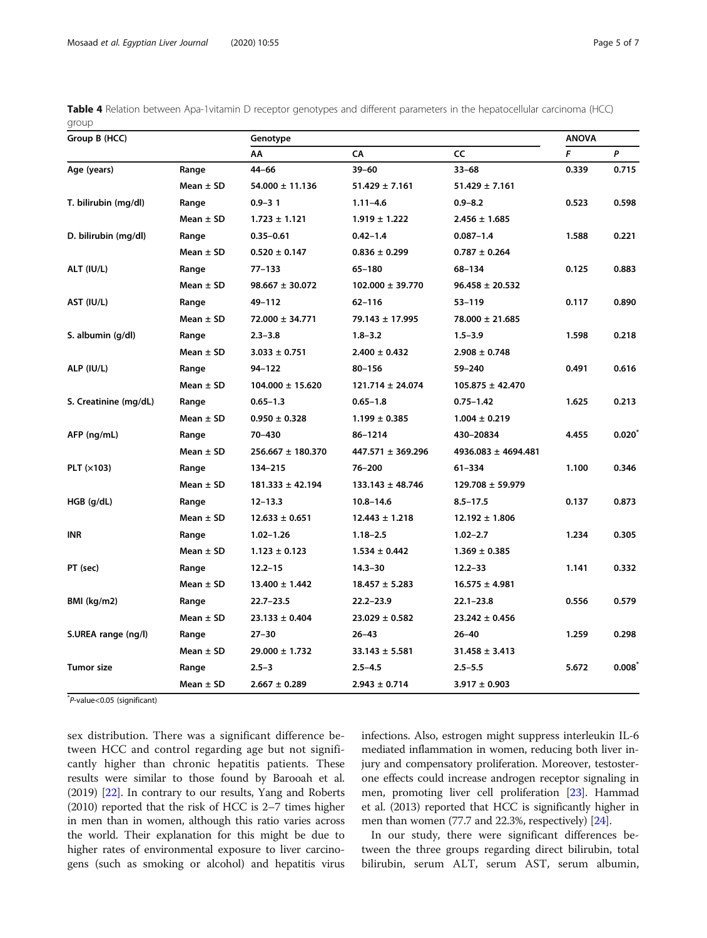<span id="page-4-0"></span>

|       | Table 4 Relation between Apa-1vitamin D receptor genotypes and different parameters in the hepatocellular carcinoma (HCC) |  |  |  |  |  |
|-------|---------------------------------------------------------------------------------------------------------------------------|--|--|--|--|--|
| group |                                                                                                                           |  |  |  |  |  |

| Group B (HCC)         |               | Genotype              | <b>ANOVA</b>          |                         |       |                   |
|-----------------------|---------------|-----------------------|-----------------------|-------------------------|-------|-------------------|
|                       |               | AA                    | CA                    | CC                      | F     | P                 |
| Age (years)           | Range         | $44 - 66$             | $39 - 60$             | $33 - 68$               | 0.339 | 0.715             |
|                       | Mean $\pm$ SD | $54.000 \pm 11.136$   | $51.429 \pm 7.161$    | $51.429 \pm 7.161$      |       |                   |
| T. bilirubin (mg/dl)  | Range         | $0.9 - 31$            | $1.11 - 4.6$          | $0.9 - 8.2$             | 0.523 | 0.598             |
|                       | Mean $\pm$ SD | $1.723 \pm 1.121$     | $1.919 \pm 1.222$     | $2.456 \pm 1.685$       |       |                   |
| D. bilirubin (mg/dl)  | Range         | $0.35 - 0.61$         | $0.42 - 1.4$          | $0.087 - 1.4$           | 1.588 | 0.221             |
|                       | Mean $\pm$ SD | $0.520 \pm 0.147$     | $0.836 \pm 0.299$     | $0.787 \pm 0.264$       |       |                   |
| ALT (IU/L)            | Range         | $77 - 133$            | 65-180                | 68-134                  | 0.125 | 0.883             |
|                       | Mean $\pm$ SD | $98.667 \pm 30.072$   | $102.000 \pm 39.770$  | $96.458 \pm 20.532$     |       |                   |
| AST (IU/L)            | Range         | 49-112                | $62 - 116$            | $53 - 119$              | 0.117 | 0.890             |
|                       | Mean $\pm$ SD | $72.000 \pm 34.771$   | 79.143 ± 17.995       | 78.000 ± 21.685         |       |                   |
| S. albumin (g/dl)     | Range         | $2.3 - 3.8$           | $1.8 - 3.2$           | $1.5 - 3.9$             | 1.598 | 0.218             |
|                       | Mean $\pm$ SD | $3.033 \pm 0.751$     | $2.400 \pm 0.432$     | $2.908 \pm 0.748$       |       |                   |
| ALP (IU/L)            | Range         | 94-122                | $80 - 156$            | 59-240                  | 0.491 | 0.616             |
|                       | Mean $\pm$ SD | $104.000 \pm 15.620$  | $121.714 \pm 24.074$  | $105.875 \pm 42.470$    |       |                   |
| S. Creatinine (mg/dL) | Range         | $0.65 - 1.3$          | $0.65 - 1.8$          | $0.75 - 1.42$           | 1.625 | 0.213             |
|                       | Mean $\pm$ SD | $0.950 \pm 0.328$     | $1.199 \pm 0.385$     | $1.004 \pm 0.219$       |       |                   |
| AFP (ng/mL)           | Range         | 70-430                | 86-1214               | 430-20834               | 4.455 | 0.020             |
|                       | Mean $\pm$ SD | $256.667 \pm 180.370$ | $447.571 \pm 369.296$ | $4936.083 \pm 4694.481$ |       |                   |
| PLT $(x103)$          | Range         | 134-215               | 76-200                | $61 - 334$              | 1.100 | 0.346             |
|                       | Mean $\pm$ SD | $181.333 \pm 42.194$  | $133.143 \pm 48.746$  | 129.708 ± 59.979        |       |                   |
| $HGB$ (g/dL)          | Range         | $12 - 13.3$           | $10.8 - 14.6$         | $8.5 - 17.5$            | 0.137 | 0.873             |
|                       | Mean $\pm$ SD | $12.633 \pm 0.651$    | $12.443 \pm 1.218$    | $12.192 \pm 1.806$      |       |                   |
| INR                   | Range         | $1.02 - 1.26$         | $1.18 - 2.5$          | $1.02 - 2.7$            | 1.234 | 0.305             |
|                       | Mean $\pm$ SD | $1.123 \pm 0.123$     | $1.534 \pm 0.442$     | $1.369 \pm 0.385$       |       |                   |
| PT (sec)              | Range         | $12.2 - 15$           | $14.3 - 30$           | $12.2 - 33$             | 1.141 | 0.332             |
|                       | Mean $\pm$ SD | $13.400 \pm 1.442$    | $18.457 \pm 5.283$    | $16.575 \pm 4.981$      |       |                   |
| BMI (kg/m2)           | Range         | $22.7 - 23.5$         | $22.2 - 23.9$         | $22.1 - 23.8$           | 0.556 | 0.579             |
|                       | Mean $\pm$ SD | $23.133 \pm 0.404$    | $23.029 \pm 0.582$    | $23.242 \pm 0.456$      |       |                   |
| S.UREA range (ng/l)   | Range         | $27 - 30$             | $26 - 43$             | $26 - 40$               | 1.259 | 0.298             |
|                       | Mean $\pm$ SD | $29.000 \pm 1.732$    | $33.143 \pm 5.581$    | $31.458 \pm 3.413$      |       |                   |
| Tumor size            | Range         | $2.5 - 3$             | $2.5 - 4.5$           | $2.5 - 5.5$             | 5.672 | $0.008^{\degree}$ |
|                       | Mean $\pm$ SD | $2.667 \pm 0.289$     | $2.943 \pm 0.714$     | $3.917 \pm 0.903$       |       |                   |

\* P-value<0.05 (significant)

sex distribution. There was a significant difference between HCC and control regarding age but not significantly higher than chronic hepatitis patients. These results were similar to those found by Barooah et al. (2019) [[22](#page-6-0)]. In contrary to our results, Yang and Roberts (2010) reported that the risk of HCC is 2–7 times higher in men than in women, although this ratio varies across the world. Their explanation for this might be due to higher rates of environmental exposure to liver carcinogens (such as smoking or alcohol) and hepatitis virus infections. Also, estrogen might suppress interleukin IL-6 mediated inflammation in women, reducing both liver injury and compensatory proliferation. Moreover, testosterone effects could increase androgen receptor signaling in men, promoting liver cell proliferation [\[23\]](#page-6-0). Hammad et al. (2013) reported that HCC is significantly higher in men than women (77.7 and 22.3%, respectively) [[24](#page-6-0)].

In our study, there were significant differences between the three groups regarding direct bilirubin, total bilirubin, serum ALT, serum AST, serum albumin,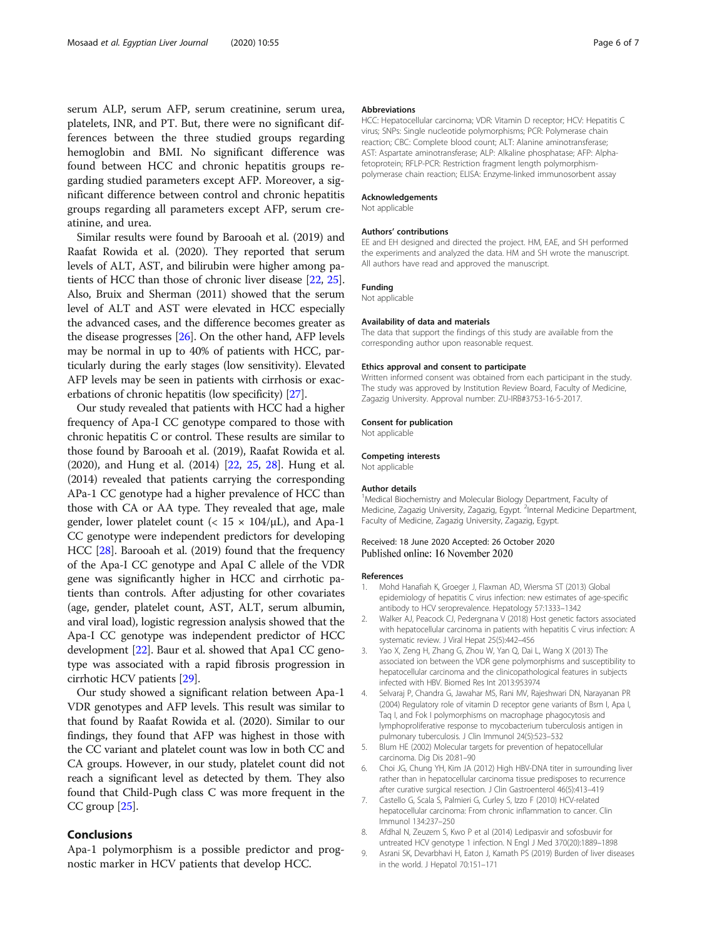<span id="page-5-0"></span>serum ALP, serum AFP, serum creatinine, serum urea, platelets, INR, and PT. But, there were no significant differences between the three studied groups regarding hemoglobin and BMI. No significant difference was found between HCC and chronic hepatitis groups regarding studied parameters except AFP. Moreover, a significant difference between control and chronic hepatitis groups regarding all parameters except AFP, serum creatinine, and urea.

Similar results were found by Barooah et al. (2019) and Raafat Rowida et al. (2020). They reported that serum levels of ALT, AST, and bilirubin were higher among patients of HCC than those of chronic liver disease [[22](#page-6-0), [25](#page-6-0)]. Also, Bruix and Sherman (2011) showed that the serum level of ALT and AST were elevated in HCC especially the advanced cases, and the difference becomes greater as the disease progresses [[26](#page-6-0)]. On the other hand, AFP levels may be normal in up to 40% of patients with HCC, particularly during the early stages (low sensitivity). Elevated AFP levels may be seen in patients with cirrhosis or exacerbations of chronic hepatitis (low specificity) [\[27\]](#page-6-0).

Our study revealed that patients with HCC had a higher frequency of Apa-I CC genotype compared to those with chronic hepatitis C or control. These results are similar to those found by Barooah et al. (2019), Raafat Rowida et al. (2020), and Hung et al. (2014) [\[22,](#page-6-0) [25,](#page-6-0) [28\]](#page-6-0). Hung et al. (2014) revealed that patients carrying the corresponding APa-1 CC genotype had a higher prevalence of HCC than those with CA or AA type. They revealed that age, male gender, lower platelet count ( $< 15 \times 104/\mu L$ ), and Apa-1 CC genotype were independent predictors for developing HCC [[28](#page-6-0)]. Barooah et al. (2019) found that the frequency of the Apa-I CC genotype and ApaI C allele of the VDR gene was significantly higher in HCC and cirrhotic patients than controls. After adjusting for other covariates (age, gender, platelet count, AST, ALT, serum albumin, and viral load), logistic regression analysis showed that the Apa-I CC genotype was independent predictor of HCC development [\[22\]](#page-6-0). Baur et al. showed that Apa1 CC genotype was associated with a rapid fibrosis progression in cirrhotic HCV patients [[29\]](#page-6-0).

Our study showed a significant relation between Apa-1 VDR genotypes and AFP levels. This result was similar to that found by Raafat Rowida et al. (2020). Similar to our findings, they found that AFP was highest in those with the CC variant and platelet count was low in both CC and CA groups. However, in our study, platelet count did not reach a significant level as detected by them. They also found that Child-Pugh class C was more frequent in the CC group [[25](#page-6-0)].

# Conclusions

Apa-1 polymorphism is a possible predictor and prognostic marker in HCV patients that develop HCC.

#### Abbreviations

HCC: Hepatocellular carcinoma; VDR: Vitamin D receptor; HCV: Hepatitis C virus; SNPs: Single nucleotide polymorphisms; PCR: Polymerase chain reaction; CBC: Complete blood count; ALT: Alanine aminotransferase; AST: Aspartate aminotransferase; ALP: Alkaline phosphatase; AFP: Alphafetoprotein; RFLP-PCR: Restriction fragment length polymorphismpolymerase chain reaction; ELISA: Enzyme-linked immunosorbent assay

#### Acknowledgements

Not applicable

#### Authors' contributions

EE and EH designed and directed the project. HM, EAE, and SH performed the experiments and analyzed the data. HM and SH wrote the manuscript. All authors have read and approved the manuscript.

## Funding

Not applicable

## Availability of data and materials

The data that support the findings of this study are available from the corresponding author upon reasonable request.

#### Ethics approval and consent to participate

Written informed consent was obtained from each participant in the study. The study was approved by Institution Review Board, Faculty of Medicine, Zagazig University. Approval number: ZU-IRB#3753-16-5-2017.

#### Consent for publication

Not applicable

#### Competing interests

Not applicable

#### Author details

<sup>1</sup>Medical Biochemistry and Molecular Biology Department, Faculty of Medicine, Zagazig University, Zagazig, Egypt. <sup>2</sup>Internal Medicine Department Faculty of Medicine, Zagazig University, Zagazig, Egypt.

#### Received: 18 June 2020 Accepted: 26 October 2020 Published online: 16 November 2020

#### References

- 1. Mohd Hanafiah K, Groeger J, Flaxman AD, Wiersma ST (2013) Global epidemiology of hepatitis C virus infection: new estimates of age-specific antibody to HCV seroprevalence. Hepatology 57:1333–1342
- 2. Walker AJ, Peacock CJ, Pedergnana V (2018) Host genetic factors associated with hepatocellular carcinoma in patients with hepatitis C virus infection: A systematic review. J Viral Hepat 25(5):442–456
- 3. Yao X, Zeng H, Zhang G, Zhou W, Yan Q, Dai L, Wang X (2013) The associated ion between the VDR gene polymorphisms and susceptibility to hepatocellular carcinoma and the clinicopathological features in subjects infected with HBV. Biomed Res Int 2013:953974
- 4. Selvaraj P, Chandra G, Jawahar MS, Rani MV, Rajeshwari DN, Narayanan PR (2004) Regulatory role of vitamin D receptor gene variants of Bsm I, Apa I, Taq I, and Fok I polymorphisms on macrophage phagocytosis and lymphoproliferative response to mycobacterium tuberculosis antigen in pulmonary tuberculosis. J Clin Immunol 24(5):523–532
- 5. Blum HE (2002) Molecular targets for prevention of hepatocellular carcinoma. Dig Dis 20:81–90
- 6. Choi JG, Chung YH, Kim JA (2012) High HBV-DNA titer in surrounding liver rather than in hepatocellular carcinoma tissue predisposes to recurrence after curative surgical resection. J Clin Gastroenterol 46(5):413–419
- 7. Castello G, Scala S, Palmieri G, Curley S, Izzo F (2010) HCV-related hepatocellular carcinoma: From chronic inflammation to cancer. Clin Immunol 134:237–250
- 8. Afdhal N, Zeuzem S, Kwo P et al (2014) Ledipasvir and sofosbuvir for untreated HCV genotype 1 infection. N Engl J Med 370(20):1889–1898
- 9. Asrani SK, Devarbhavi H, Eaton J, Kamath PS (2019) Burden of liver diseases in the world. J Hepatol 70:151–171